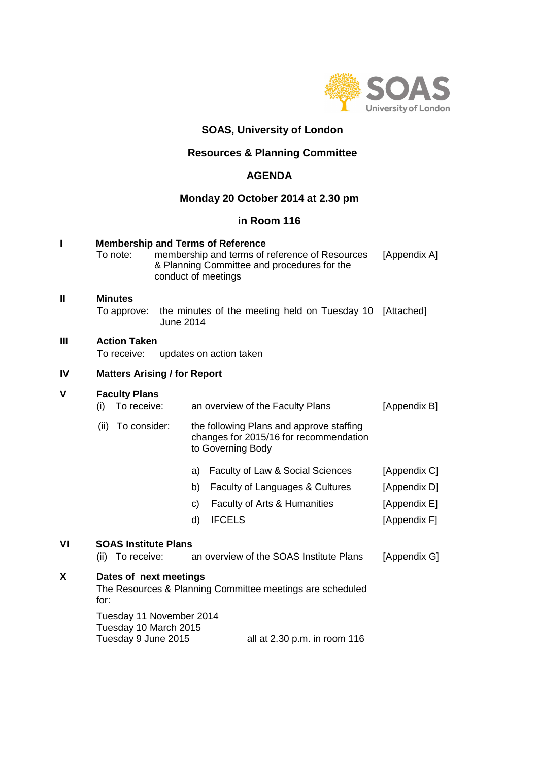

# **SOAS, University of London**

# **Resources & Planning Committee**

# **AGENDA**

## **Monday 20 October 2014 at 2.30 pm**

# **in Room 116**

|                                                               |  |                                           | [Appendix A]                                        |                                                                                                                      |                                                                                                                                                                                                                                                                                                                                                                                                         |  |  |  |
|---------------------------------------------------------------|--|-------------------------------------------|-----------------------------------------------------|----------------------------------------------------------------------------------------------------------------------|---------------------------------------------------------------------------------------------------------------------------------------------------------------------------------------------------------------------------------------------------------------------------------------------------------------------------------------------------------------------------------------------------------|--|--|--|
|                                                               |  |                                           |                                                     |                                                                                                                      | [Attached]                                                                                                                                                                                                                                                                                                                                                                                              |  |  |  |
| <b>Action Taken</b><br>To receive:<br>updates on action taken |  |                                           |                                                     |                                                                                                                      |                                                                                                                                                                                                                                                                                                                                                                                                         |  |  |  |
|                                                               |  |                                           |                                                     |                                                                                                                      |                                                                                                                                                                                                                                                                                                                                                                                                         |  |  |  |
| (i)<br>(ii)                                                   |  |                                           |                                                     |                                                                                                                      | [Appendix B]                                                                                                                                                                                                                                                                                                                                                                                            |  |  |  |
|                                                               |  |                                           | a)<br>b)<br>C)<br>d)                                | Faculty of Law & Social Sciences<br>Faculty of Languages & Cultures<br>Faculty of Arts & Humanities<br><b>IFCELS</b> | [Appendix C]<br>[Appendix D]<br>[Appendix E]<br>[Appendix F]                                                                                                                                                                                                                                                                                                                                            |  |  |  |
|                                                               |  | To note:<br><b>Minutes</b><br>To approve: | <b>Faculty Plans</b><br>To receive:<br>To consider: | June 2014                                                                                                            | <b>Membership and Terms of Reference</b><br>membership and terms of reference of Resources<br>& Planning Committee and procedures for the<br>conduct of meetings<br>the minutes of the meeting held on Tuesday 10<br><b>Matters Arising / for Report</b><br>an overview of the Faculty Plans<br>the following Plans and approve staffing<br>changes for 2015/16 for recommendation<br>to Governing Body |  |  |  |

# **VI SOAS Institute Plans**

| Dates of next meetings |  |  |  |  |  |  |  |
|------------------------|--|--|--|--|--|--|--|

The Resources & Planning Committee meetings are scheduled for:

Tuesday 11 November 2014 Tuesday 10 March 2015<br>Tuesday 9 June 2015 all at 2.30 p.m. in room  $116$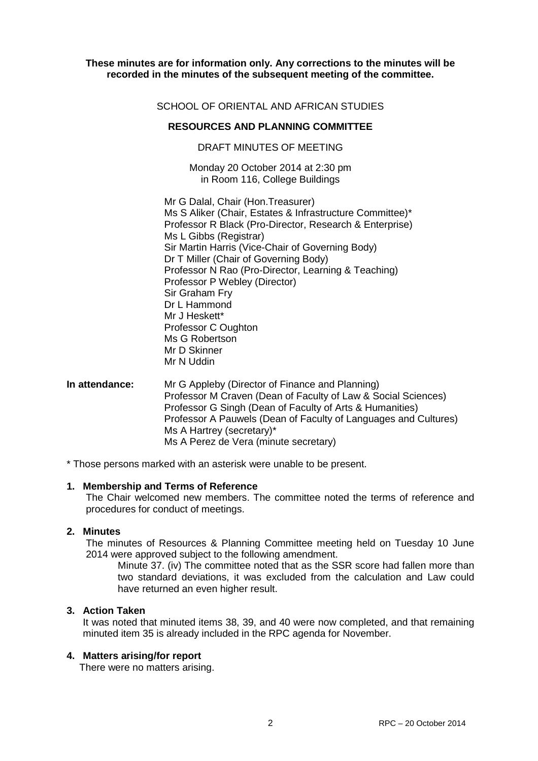## **These minutes are for information only. Any corrections to the minutes will be recorded in the minutes of the subsequent meeting of the committee.**

## SCHOOL OF ORIENTAL AND AFRICAN STUDIES

## **RESOURCES AND PLANNING COMMITTEE**

#### DRAFT MINUTES OF MEETING

Monday 20 October 2014 at 2:30 pm in Room 116, College Buildings

Mr G Dalal, Chair (Hon.Treasurer) Ms S Aliker (Chair, Estates & Infrastructure Committee)\* Professor R Black (Pro-Director, Research & Enterprise) Ms L Gibbs (Registrar) Sir Martin Harris (Vice-Chair of Governing Body) Dr T Miller (Chair of Governing Body) Professor N Rao (Pro-Director, Learning & Teaching) Professor P Webley (Director) Sir Graham Fry Dr L Hammond Mr J Heskett\* Professor C Oughton Ms G Robertson Mr D Skinner Mr N Uddin

## **In attendance:** Mr G Appleby (Director of Finance and Planning) Professor M Craven (Dean of Faculty of Law & Social Sciences) Professor G Singh (Dean of Faculty of Arts & Humanities) Professor A Pauwels (Dean of Faculty of Languages and Cultures) Ms A Hartrey (secretary)\* Ms A Perez de Vera (minute secretary)

\* Those persons marked with an asterisk were unable to be present.

#### **1. Membership and Terms of Reference**

The Chair welcomed new members. The committee noted the terms of reference and procedures for conduct of meetings.

#### **2. Minutes**

The minutes of Resources & Planning Committee meeting held on Tuesday 10 June 2014 were approved subject to the following amendment.

Minute 37. (iv) The committee noted that as the SSR score had fallen more than two standard deviations, it was excluded from the calculation and Law could have returned an even higher result.

#### **3. Action Taken**

It was noted that minuted items 38, 39, and 40 were now completed, and that remaining minuted item 35 is already included in the RPC agenda for November.

#### **4. Matters arising/for report**

There were no matters arising.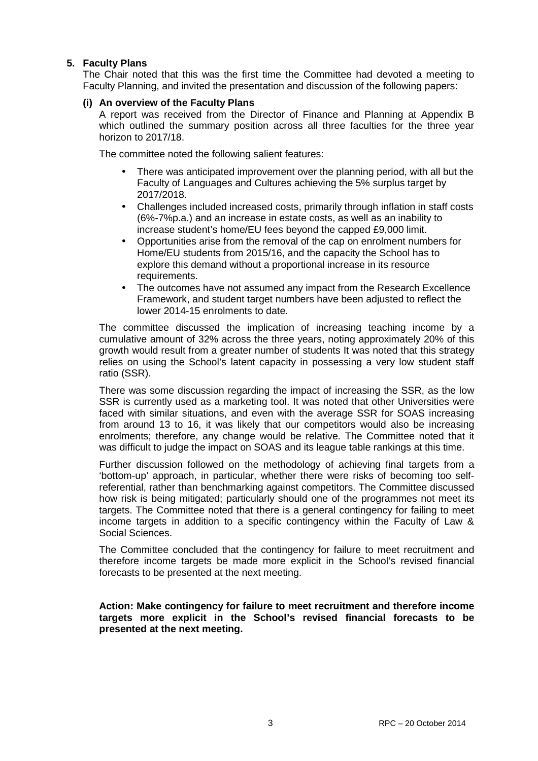# **5. Faculty Plans**

The Chair noted that this was the first time the Committee had devoted a meeting to Faculty Planning, and invited the presentation and discussion of the following papers:

## **(i) An overview of the Faculty Plans**

A report was received from the Director of Finance and Planning at Appendix B which outlined the summary position across all three faculties for the three year horizon to 2017/18.

The committee noted the following salient features:

- There was anticipated improvement over the planning period, with all but the Faculty of Languages and Cultures achieving the 5% surplus target by 2017/2018.
- Challenges included increased costs, primarily through inflation in staff costs (6%-7%p.a.) and an increase in estate costs, as well as an inability to increase student's home/EU fees beyond the capped £9,000 limit.
- Opportunities arise from the removal of the cap on enrolment numbers for Home/EU students from 2015/16, and the capacity the School has to explore this demand without a proportional increase in its resource requirements.
- The outcomes have not assumed any impact from the Research Excellence Framework, and student target numbers have been adjusted to reflect the lower 2014-15 enrolments to date.

The committee discussed the implication of increasing teaching income by a cumulative amount of 32% across the three years, noting approximately 20% of this growth would result from a greater number of students It was noted that this strategy relies on using the School's latent capacity in possessing a very low student staff ratio (SSR).

There was some discussion regarding the impact of increasing the SSR, as the low SSR is currently used as a marketing tool. It was noted that other Universities were faced with similar situations, and even with the average SSR for SOAS increasing from around 13 to 16, it was likely that our competitors would also be increasing enrolments; therefore, any change would be relative. The Committee noted that it was difficult to judge the impact on SOAS and its league table rankings at this time.

Further discussion followed on the methodology of achieving final targets from a 'bottom-up' approach, in particular, whether there were risks of becoming too selfreferential, rather than benchmarking against competitors. The Committee discussed how risk is being mitigated; particularly should one of the programmes not meet its targets. The Committee noted that there is a general contingency for failing to meet income targets in addition to a specific contingency within the Faculty of Law & Social Sciences.

The Committee concluded that the contingency for failure to meet recruitment and therefore income targets be made more explicit in the School's revised financial forecasts to be presented at the next meeting.

**Action: Make contingency for failure to meet recruitment and therefore income targets more explicit in the School's revised financial forecasts to be presented at the next meeting.**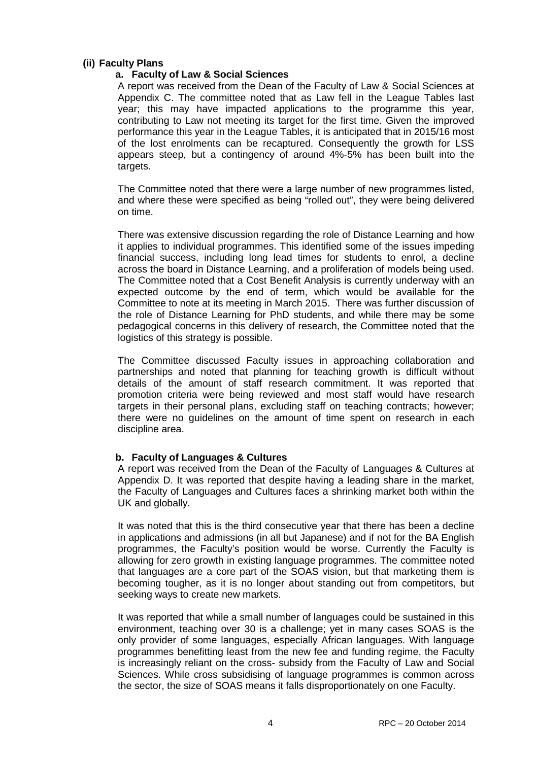## **(ii) Faculty Plans**

#### **a. Faculty of Law & Social Sciences**

A report was received from the Dean of the Faculty of Law & Social Sciences at Appendix C. The committee noted that as Law fell in the League Tables last year; this may have impacted applications to the programme this year, contributing to Law not meeting its target for the first time. Given the improved performance this year in the League Tables, it is anticipated that in 2015/16 most of the lost enrolments can be recaptured. Consequently the growth for LSS appears steep, but a contingency of around 4%-5% has been built into the targets.

The Committee noted that there were a large number of new programmes listed, and where these were specified as being "rolled out", they were being delivered on time.

There was extensive discussion regarding the role of Distance Learning and how it applies to individual programmes. This identified some of the issues impeding financial success, including long lead times for students to enrol, a decline across the board in Distance Learning, and a proliferation of models being used. The Committee noted that a Cost Benefit Analysis is currently underway with an expected outcome by the end of term, which would be available for the Committee to note at its meeting in March 2015. There was further discussion of the role of Distance Learning for PhD students, and while there may be some pedagogical concerns in this delivery of research, the Committee noted that the logistics of this strategy is possible.

The Committee discussed Faculty issues in approaching collaboration and partnerships and noted that planning for teaching growth is difficult without details of the amount of staff research commitment. It was reported that promotion criteria were being reviewed and most staff would have research targets in their personal plans, excluding staff on teaching contracts; however; there were no guidelines on the amount of time spent on research in each discipline area.

## **b. Faculty of Languages & Cultures**

A report was received from the Dean of the Faculty of Languages & Cultures at Appendix D. It was reported that despite having a leading share in the market, the Faculty of Languages and Cultures faces a shrinking market both within the UK and globally.

It was noted that this is the third consecutive year that there has been a decline in applications and admissions (in all but Japanese) and if not for the BA English programmes, the Faculty's position would be worse. Currently the Faculty is allowing for zero growth in existing language programmes. The committee noted that languages are a core part of the SOAS vision, but that marketing them is becoming tougher, as it is no longer about standing out from competitors, but seeking ways to create new markets.

It was reported that while a small number of languages could be sustained in this environment, teaching over 30 is a challenge; yet in many cases SOAS is the only provider of some languages, especially African languages. With language programmes benefitting least from the new fee and funding regime, the Faculty is increasingly reliant on the cross- subsidy from the Faculty of Law and Social Sciences. While cross subsidising of language programmes is common across the sector, the size of SOAS means it falls disproportionately on one Faculty.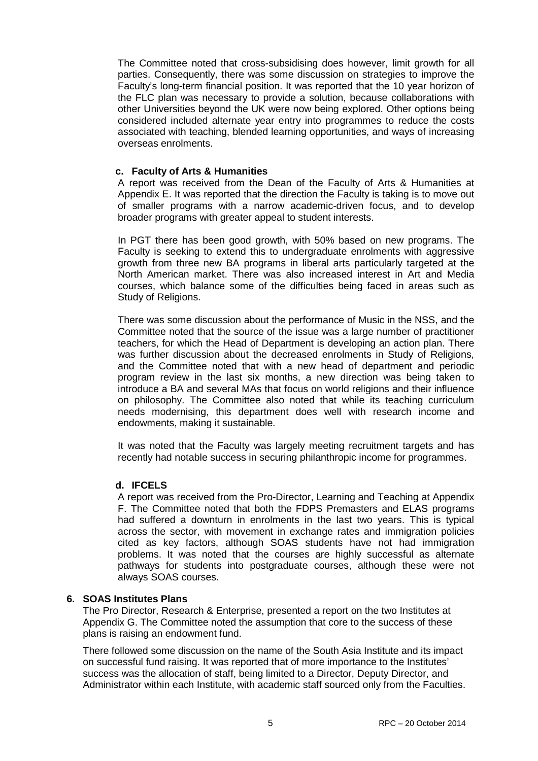The Committee noted that cross-subsidising does however, limit growth for all parties. Consequently, there was some discussion on strategies to improve the Faculty's long-term financial position. It was reported that the 10 year horizon of the FLC plan was necessary to provide a solution, because collaborations with other Universities beyond the UK were now being explored. Other options being considered included alternate year entry into programmes to reduce the costs associated with teaching, blended learning opportunities, and ways of increasing overseas enrolments.

#### **c. Faculty of Arts & Humanities**

A report was received from the Dean of the Faculty of Arts & Humanities at Appendix E. It was reported that the direction the Faculty is taking is to move out of smaller programs with a narrow academic-driven focus, and to develop broader programs with greater appeal to student interests.

In PGT there has been good growth, with 50% based on new programs. The Faculty is seeking to extend this to undergraduate enrolments with aggressive growth from three new BA programs in liberal arts particularly targeted at the North American market. There was also increased interest in Art and Media courses, which balance some of the difficulties being faced in areas such as Study of Religions.

There was some discussion about the performance of Music in the NSS, and the Committee noted that the source of the issue was a large number of practitioner teachers, for which the Head of Department is developing an action plan. There was further discussion about the decreased enrolments in Study of Religions, and the Committee noted that with a new head of department and periodic program review in the last six months, a new direction was being taken to introduce a BA and several MAs that focus on world religions and their influence on philosophy. The Committee also noted that while its teaching curriculum needs modernising, this department does well with research income and endowments, making it sustainable.

It was noted that the Faculty was largely meeting recruitment targets and has recently had notable success in securing philanthropic income for programmes.

## **d. IFCELS**

A report was received from the Pro-Director, Learning and Teaching at Appendix F. The Committee noted that both the FDPS Premasters and ELAS programs had suffered a downturn in enrolments in the last two years. This is typical across the sector, with movement in exchange rates and immigration policies cited as key factors, although SOAS students have not had immigration problems. It was noted that the courses are highly successful as alternate pathways for students into postgraduate courses, although these were not always SOAS courses.

## **6. SOAS Institutes Plans**

The Pro Director, Research & Enterprise, presented a report on the two Institutes at Appendix G. The Committee noted the assumption that core to the success of these plans is raising an endowment fund.

There followed some discussion on the name of the South Asia Institute and its impact on successful fund raising. It was reported that of more importance to the Institutes' success was the allocation of staff, being limited to a Director, Deputy Director, and Administrator within each Institute, with academic staff sourced only from the Faculties.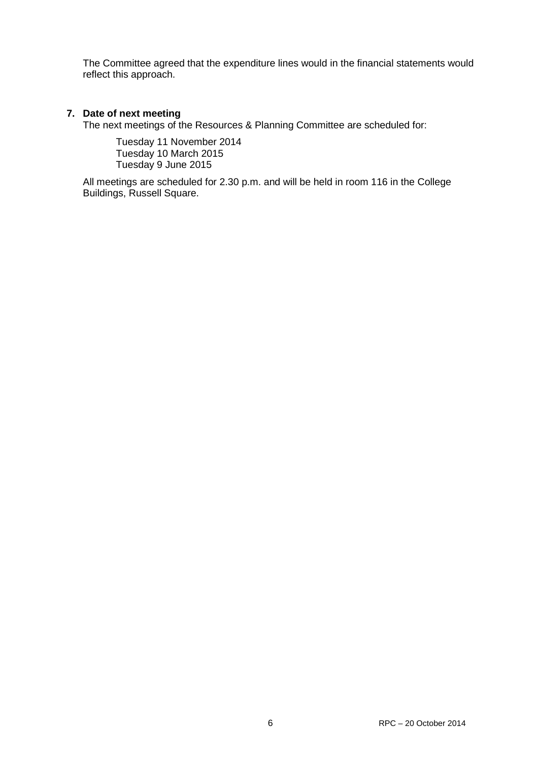The Committee agreed that the expenditure lines would in the financial statements would reflect this approach.

# **7. Date of next meeting**

The next meetings of the Resources & Planning Committee are scheduled for:

Tuesday 11 November 2014 Tuesday 10 March 2015 Tuesday 9 June 2015

All meetings are scheduled for 2.30 p.m. and will be held in room 116 in the College Buildings, Russell Square.